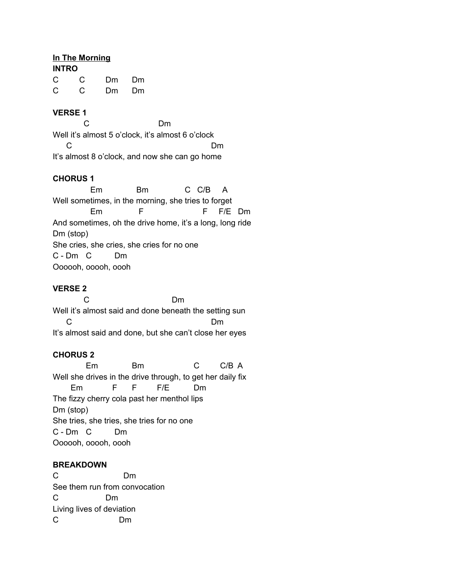### **In The Morning**

| <b>INTRO</b> |    |                                                                                                                                                                                                                                |     |
|--------------|----|--------------------------------------------------------------------------------------------------------------------------------------------------------------------------------------------------------------------------------|-----|
| C.           | C  | Dm                                                                                                                                                                                                                             | Dm  |
| C            | C. | Dm and the post of the set of the set of the set of the set of the set of the set of the set of the set of the set of the set of the set of the set of the set of the set of the set of the set of the set of the set of the s | Dm. |

### **VERSE 1**

C Dm Well it's almost 5 o'clock, it's almost 6 o'clock C<sub>D</sub> Dm It's almost 8 o'clock, and now she can go home

## **CHORUS 1**

Em Bm C C/B A Well sometimes, in the morning, she tries to forget Em F F/E Dm And sometimes, oh the drive home, it's a long, long ride Dm (stop) She cries, she cries, she cries for no one C - Dm C Dm Oooooh, ooooh, oooh

# **VERSE 2**

C Dm Well it's almost said and done beneath the setting sun C<sub>D</sub> Dm It's almost said and done, but she can't close her eyes

## **CHORUS 2**

Em Bm C C/B A Well she drives in the drive through, to get her daily fix Em F F F/E Dm The fizzy cherry cola past her menthol lips Dm (stop) She tries, she tries, she tries for no one C - Dm C Dm Oooooh, ooooh, oooh

#### **BREAKDOWN**

C Dm See them run from convocation C Dm Living lives of deviation C Dm